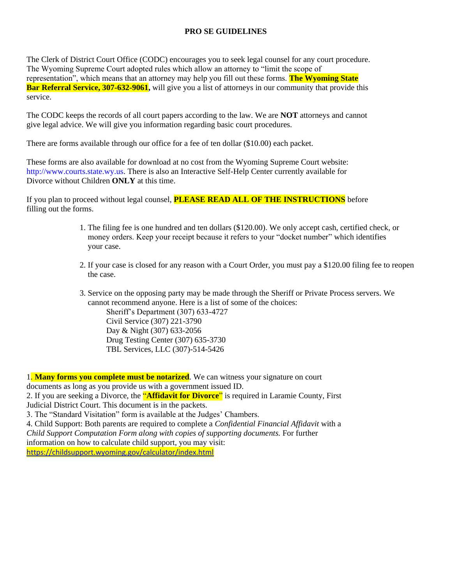## **PRO SE GUIDELINES**

The Clerk of District Court Office (CODC) encourages you to seek legal counsel for any court procedure. The Wyoming Supreme Court adopted rules which allow an attorney to "limit the scope of representation", which means that an attorney may help you fill out these forms. **The Wyoming State Bar Referral Service, 307-632-9061**, will give you a list of attorneys in our community that provide this service.

The CODC keeps the records of all court papers according to the law. We are **NOT** attorneys and cannot give legal advice. We will give you information regarding basic court procedures.

There are forms available through our office for a fee of ten dollar (\$10.00) each packet.

These forms are also available for download at no cost from the Wyoming Supreme Court website: http://www.courts.state.wy.us. There is also an Interactive Self-Help Center currently available for Divorce without Children **ONLY** at this time.

If you plan to proceed without legal counsel, **PLEASE READ ALL OF THE INSTRUCTIONS** before filling out the forms.

- 1. The filing fee is one hundred and ten dollars (\$120.00). We only accept cash, certified check, or money orders. Keep your receipt because it refers to your "docket number" which identifies your case.
- 2. If your case is closed for any reason with a Court Order, you must pay a \$120.00 filing fee to reopen the case.

3. Service on the opposing party may be made through the Sheriff or Private Process servers. We cannot recommend anyone. Here is a list of some of the choices: Sheriff's Department (307) 633-4727 Civil Service (307) 221-3790 Day & Night (307) 633-2056 Drug Testing Center (307) 635-3730 TBL Services, LLC (307)-514-5426

1. **Many forms you complete must be notarized**. We can witness your signature on court documents as long as you provide us with a government issued ID. 2. If you are seeking a Divorce, the "**Affidavit for Divorce**" is required in Laramie County, First Judicial District Court. This document is in the packets. 3. The "Standard Visitation" form is available at the Judges' Chambers. 4. Child Support: Both parents are required to complete a *Confidential Financial Affidavit* with a *Child Support Computation Form along with copies of supporting documents.* For further information on how to calculate child support, you may visit: <https://childsupport.wyoming.gov/calculator/index.html>